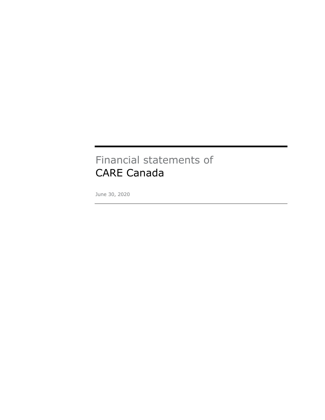# Financial statements of CARE Canada

June 30, 2020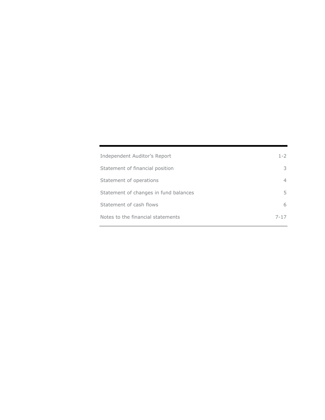| Independent Auditor's Report          | $1 - 2$  |
|---------------------------------------|----------|
| Statement of financial position       | 3        |
| Statement of operations               | 4        |
| Statement of changes in fund balances | 5.       |
| Statement of cash flows               | 6        |
| Notes to the financial statements     | $7 - 17$ |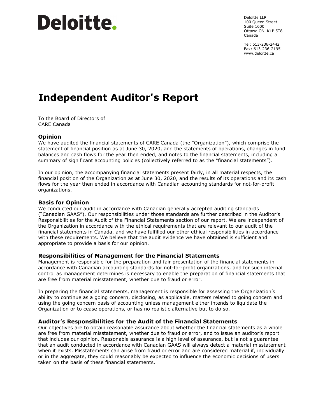# Deloitte.

Deloitte LLP 100 Queen Street Suite 1600 Ottawa ON K1P 5T8 Canada

Tel: 613-236-2442 Fax: 613-236-2195 www.deloitte.ca

# **Independent Auditor's Report**

To the Board of Directors of CARE Canada

# **Opinion**

We have audited the financial statements of CARE Canada (the "Organization"), which comprise the statement of financial position as at June 30, 2020, and the statements of operations, changes in fund balances and cash flows for the year then ended, and notes to the financial statements, including a summary of significant accounting policies (collectively referred to as the "financial statements").

In our opinion, the accompanying financial statements present fairly, in all material respects, the financial position of the Organization as at June 30, 2020, and the results of its operations and its cash flows for the year then ended in accordance with Canadian accounting standards for not-for-profit organizations.

# **Basis for Opinion**

We conducted our audit in accordance with Canadian generally accepted auditing standards ("Canadian GAAS"). Our responsibilities under those standards are further described in the Auditor's Responsibilities for the Audit of the Financial Statements section of our report. We are independent of the Organization in accordance with the ethical requirements that are relevant to our audit of the financial statements in Canada, and we have fulfilled our other ethical responsibilities in accordance with these requirements. We believe that the audit evidence we have obtained is sufficient and appropriate to provide a basis for our opinion.

#### **Responsibilities of Management for the Financial Statements**

Management is responsible for the preparation and fair presentation of the financial statements in accordance with Canadian accounting standards for not-for-profit organizations, and for such internal control as management determines is necessary to enable the preparation of financial statements that are free from material misstatement, whether due to fraud or error.

In preparing the financial statements, management is responsible for assessing the Organization's ability to continue as a going concern, disclosing, as applicable, matters related to going concern and using the going concern basis of accounting unless management either intends to liquidate the Organization or to cease operations, or has no realistic alternative but to do so.

# **Auditor's Responsibilities for the Audit of the Financial Statements**

Our objectives are to obtain reasonable assurance about whether the financial statements as a whole are free from material misstatement, whether due to fraud or error, and to issue an auditor's report that includes our opinion. Reasonable assurance is a high level of assurance, but is not a guarantee that an audit conducted in accordance with Canadian GAAS will always detect a material misstatement when it exists. Misstatements can arise from fraud or error and are considered material if, individually or in the aggregate, they could reasonably be expected to influence the economic decisions of users taken on the basis of these financial statements.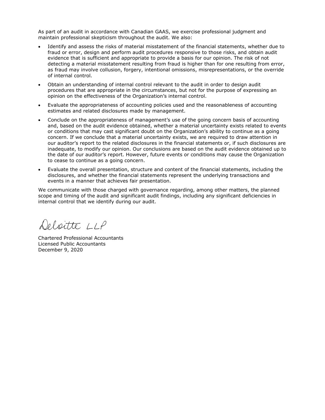As part of an audit in accordance with Canadian GAAS, we exercise professional judgment and maintain professional skepticism throughout the audit. We also:

- Identify and assess the risks of material misstatement of the financial statements, whether due to fraud or error, design and perform audit procedures responsive to those risks, and obtain audit evidence that is sufficient and appropriate to provide a basis for our opinion. The risk of not detecting a material misstatement resulting from fraud is higher than for one resulting from error, as fraud may involve collusion, forgery, intentional omissions, misrepresentations, or the override of internal control.
- Obtain an understanding of internal control relevant to the audit in order to design audit procedures that are appropriate in the circumstances, but not for the purpose of expressing an opinion on the effectiveness of the Organization's internal control.
- Evaluate the appropriateness of accounting policies used and the reasonableness of accounting estimates and related disclosures made by management.
- Conclude on the appropriateness of management's use of the going concern basis of accounting and, based on the audit evidence obtained, whether a material uncertainty exists related to events or conditions that may cast significant doubt on the Organization's ability to continue as a going concern. If we conclude that a material uncertainty exists, we are required to draw attention in our auditor's report to the related disclosures in the financial statements or, if such disclosures are inadequate, to modify our opinion. Our conclusions are based on the audit evidence obtained up to the date of our auditor's report. However, future events or conditions may cause the Organization to cease to continue as a going concern.
- Evaluate the overall presentation, structure and content of the financial statements, including the disclosures, and whether the financial statements represent the underlying transactions and events in a manner that achieves fair presentation.

We communicate with those charged with governance regarding, among other matters, the planned scope and timing of the audit and significant audit findings, including any significant deficiencies in internal control that we identify during our audit.

Delicitté LIP

Chartered Professional Accountants Licensed Public Accountants December 9, 2020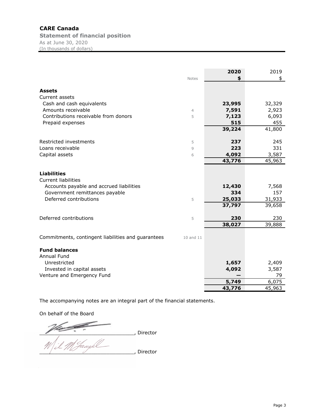**Statement of financial position** As at June 30, 2020 (In thousands of dollars)

|                                                                                              | <b>Notes</b>   | 2020<br>\$ | 2019<br>\$ |
|----------------------------------------------------------------------------------------------|----------------|------------|------------|
|                                                                                              |                |            |            |
| Assets                                                                                       |                |            |            |
| Current assets                                                                               |                |            |            |
| Cash and cash equivalents                                                                    |                | 23,995     | 32,329     |
| Amounts receivable                                                                           | $\overline{4}$ | 7,591      | 2,923      |
| Contributions receivable from donors                                                         | 5              | 7,123      | 6,093      |
| Prepaid expenses                                                                             |                | 515        | 455        |
|                                                                                              |                | 39,224     | 41,800     |
| Restricted investments                                                                       | 5              | 237        | 245        |
| Loans receivable                                                                             | $\mathcal{G}$  | 223        | 331        |
| Capital assets                                                                               | 6              | 4,092      | 3,587      |
|                                                                                              |                | 43,776     | 45,963     |
| <b>Liabilities</b><br><b>Current liabilities</b><br>Accounts payable and accrued liabilities |                | 12,430     | 7,568      |
| Government remittances payable                                                               |                | 334        | 157        |
| Deferred contributions                                                                       | 5              | 25,033     | 31,933     |
|                                                                                              |                | 37,797     | 39,658     |
| Deferred contributions                                                                       | 5              | 230        | 230        |
|                                                                                              |                | 38,027     | 39,888     |
| Commitments, contingent liabilities and guarantees                                           | 10 and 11      |            |            |
| <b>Fund balances</b>                                                                         |                |            |            |
| Annual Fund                                                                                  |                |            |            |
| Unrestricted                                                                                 |                | 1,657      | 2,409      |
| Invested in capital assets                                                                   |                | 4,092      | 3,587      |
| Venture and Emergency Fund                                                                   |                |            | 79         |
|                                                                                              |                | 5,749      | 6,075      |
|                                                                                              |                | 43,776     | 45,963     |

The accompanying notes are an integral part of the financial statements.

On behalf of the Board

While M Jacope Company, Director \_\_\_\_\_\_\_\_\_\_\_\_\_\_\_\_\_\_\_\_\_\_\_\_\_\_\_\_\_\_\_, Director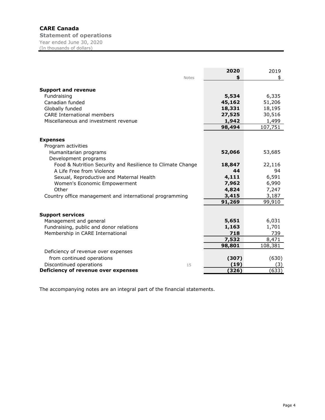**Statement of operations** Year ended June 30, 2020 (In thousands of dollars)

| <b>Notes</b>                                               | 2020<br>\$   | 2019<br>\$   |
|------------------------------------------------------------|--------------|--------------|
| <b>Support and revenue</b>                                 |              |              |
| Fundraising                                                | 5,534        | 6,335        |
| Canadian funded                                            | 45,162       | 51,206       |
| Globally funded                                            | 18,331       | 18,195       |
| <b>CARE International members</b>                          | 27,525       | 30,516       |
| Miscellaneous and investment revenue                       | 1,942        | 1,499        |
|                                                            | 98,494       | 107,751      |
| <b>Expenses</b>                                            |              |              |
| Program activities                                         |              |              |
| Humanitarian programs                                      | 52,066       | 53,685       |
| Development programs                                       |              |              |
| Food & Nutrition Security and Resilience to Climate Change | 18,847       | 22,116       |
| A Life Free from Violence                                  | 44           | 94           |
| Sexual, Reproductive and Maternal Health                   | 4,111        | 6,591        |
| Women's Economic Empowerment                               | 7,962        | 6,990        |
| Other                                                      | 4,824        | 7,247        |
| Country office management and international programming    | 3,415        | 3,187        |
|                                                            | 91,269       | 99,910       |
|                                                            |              |              |
| <b>Support services</b>                                    |              |              |
| Management and general                                     | 5,651        | 6,031        |
| Fundraising, public and donor relations                    | 1,163<br>718 | 1,701<br>739 |
| Membership in CARE International                           | 7,532        | 8,471        |
|                                                            | 98,801       | 108,381      |
| Deficiency of revenue over expenses                        |              |              |
| from continued operations                                  | (307)        | (630)        |
| Discontinued operations<br>15                              | (19)         | (3)          |
| Deficiency of revenue over expenses                        | (326)        | (633)        |

The accompanying notes are an integral part of the financial statements.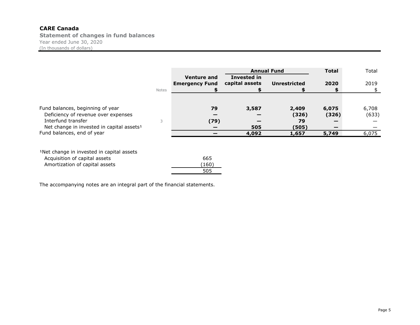**Statement of changes in fund balances** Year ended June 30, 2020 (In thousands of dollars)

|                                                                                                                          |              | <b>Venture and</b>    | Invested in    | <b>Annual Fund</b>  | <b>Total</b> | Total |
|--------------------------------------------------------------------------------------------------------------------------|--------------|-----------------------|----------------|---------------------|--------------|-------|
|                                                                                                                          |              | <b>Emergency Fund</b> | capital assets | <b>Unrestricted</b> | 2020         | 2019  |
|                                                                                                                          | <b>Notes</b> |                       |                |                     |              | S     |
|                                                                                                                          |              |                       |                |                     |              |       |
| Fund balances, beginning of year                                                                                         |              | 79                    | 3,587          | 2,409               | 6,075        | 6,708 |
| Deficiency of revenue over expenses                                                                                      |              |                       |                | (326)               | (326)        | (633) |
| Interfund transfer                                                                                                       | 3            | (79)                  |                | 79                  |              |       |
| Net change in invested in capital assets <sup>1</sup>                                                                    |              |                       | 505            | (505)               |              |       |
| Fund balances, end of year                                                                                               |              |                       | 4,092          | 1,657               | 5,749        | 6,075 |
| <sup>1</sup> Net change in invested in capital assets<br>Acquisition of capital assets<br>Amortization of capital assets |              | 665<br>(160)<br>505   |                |                     |              |       |

The accompanying notes are an integral part of the financial statements.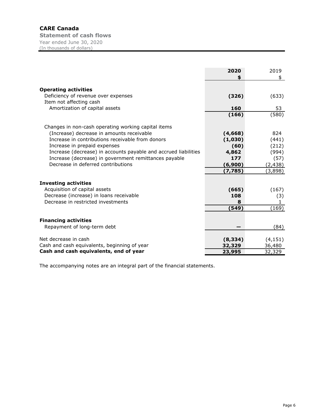**Statement of cash flows** Year ended June 30, 2020 (In thousands of dollars)

|                                                                 | 2020     | 2019     |
|-----------------------------------------------------------------|----------|----------|
|                                                                 | S        | \$       |
|                                                                 |          |          |
| <b>Operating activities</b>                                     |          |          |
| Deficiency of revenue over expenses                             | (326)    | (633)    |
| Item not affecting cash                                         |          |          |
| Amortization of capital assets                                  | 160      | 53       |
|                                                                 | (166)    | (580)    |
| Changes in non-cash operating working capital items             |          |          |
| (Increase) decrease in amounts receivable                       | (4,668)  | 824      |
| Increase in contributions receivable from donors                | (1,030)  | (441)    |
| Increase in prepaid expenses                                    | (60)     | (212)    |
| Increase (decrease) in accounts payable and accrued liabilities | 4,862    | (994)    |
| Increase (decrease) in government remittances payable           | 177      | (57)     |
| Decrease in deferred contributions                              | (6,900)  | (2, 438) |
|                                                                 | (7, 785) | (3,898)  |
|                                                                 |          |          |
| <b>Investing activities</b>                                     |          |          |
| Acquisition of capital assets                                   | (665)    | (167)    |
| Decrease (increase) in loans receivable                         | 108      | (3)      |
| Decrease in restricted investments                              | 8        | 1        |
|                                                                 | (549)    | (169)    |
| <b>Financing activities</b>                                     |          |          |
| Repayment of long-term debt                                     |          | (84)     |
| Net decrease in cash                                            | (8, 334) | (4, 151) |
| Cash and cash equivalents, beginning of year                    | 32,329   | 36,480   |
| Cash and cash equivalents, end of year                          | 23,995   | 32,329   |

The accompanying notes are an integral part of the financial statements.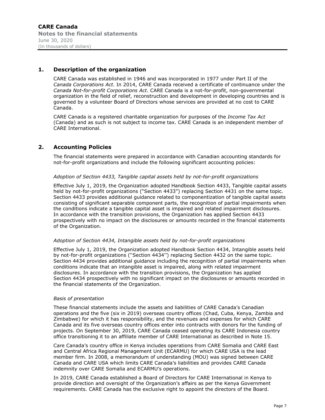# **1. Description of the organization**

CARE Canada was established in 1946 and was incorporated in 1977 under Part II of the *Canada Corporations Act*. In 2014, CARE Canada received a certificate of continuance under the *Canada Not-for-profit Corporations Act*. CARE Canada is a not-for-profit, non-governmental organization in the field of relief, reconstruction and development in developing countries and is governed by a volunteer Board of Directors whose services are provided at no cost to CARE Canada.

CARE Canada is a registered charitable organization for purposes of the *Income Tax Act* (Canada) and as such is not subject to income tax. CARE Canada is an independent member of CARE International.

# **2. Accounting Policies**

The financial statements were prepared in accordance with Canadian accounting standards for not-for-profit organizations and include the following significant accounting policies:

#### *Adoption of Section 4433, Tangible capital assets held by not-for-profit organizations*

Effective July 1, 2019, the Organization adopted Handbook Section 4433, Tangible capital assets held by not-for-profit organizations ("Section 4433") replacing Section 4431 on the same topic. Section 4433 provides additional guidance related to componentization of tangible capital assets consisting of significant separable component parts, the recognition of partial impairments when the conditions indicate a tangible capital asset is impaired and related impairment disclosures. In accordance with the transition provisions, the Organization has applied Section 4433 prospectively with no impact on the disclosures or amounts recorded in the financial statements of the Organization.

#### *Adoption of Section 4434, Intangible assets held by not-for-profit organizations*

Effective July 1, 2019, the Organization adopted Handbook Section 4434, Intangible assets held by not-for-profit organizations (''Section 4434'') replacing Section 4432 on the same topic. Section 4434 provides additional guidance including the recognition of partial impairments when conditions indicate that an intangible asset is impaired, along with related impairment disclosures. In accordance with the transition provisions, the Organization has applied Section 4434 prospectively with no significant impact on the disclosures or amounts recorded in the financial statements of the Organization.

#### *Basis of presentation*

These financial statements include the assets and liabilities of CARE Canada's Canadian operations and the five (six in 2019) overseas country offices (Chad, Cuba, Kenya, Zambia and Zimbabwe) for which it has responsibility, and the revenues and expenses for which CARE Canada and its five overseas country offices enter into contracts with donors for the funding of projects. On September 30, 2019, CARE Canada ceased operating its CARE Indonesia country office transitioning it to an affiliate member of CARE International as described in Note 15.

Care Canada's country office in Kenya includes operations from CARE Somalia and CARE East and Central Africa Regional Management Unit (ECARMU) for which CARE USA is the lead member firm. In 2008, a memorandum of understanding (MOU) was signed between CARE Canada and CARE USA which limits CARE Canada's liabilities and provides CARE Canada indemnity over CARE Somalia and ECARMU's operations.

In 2019, CARE Canada established a Board of Directors for CARE International in Kenya to provide direction and oversight of the Organization's affairs as per the Kenya Government requirements. CARE Canada has the exclusive right to appoint the directors of the Board.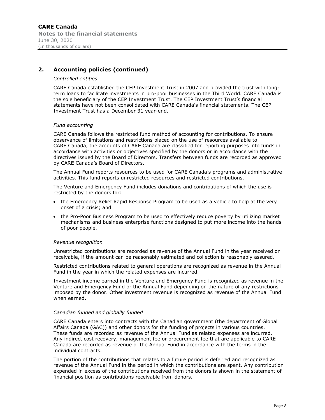# **2. Accounting policies (continued)**

#### *Controlled entities*

CARE Canada established the CEP Investment Trust in 2007 and provided the trust with longterm loans to facilitate investments in pro-poor businesses in the Third World. CARE Canada is the sole beneficiary of the CEP Investment Trust. The CEP Investment Trust's financial statements have not been consolidated with CARE Canada's financial statements. The CEP Investment Trust has a December 31 year-end.

#### *Fund accounting*

CARE Canada follows the restricted fund method of accounting for contributions. To ensure observance of limitations and restrictions placed on the use of resources available to CARE Canada, the accounts of CARE Canada are classified for reporting purposes into funds in accordance with activities or objectives specified by the donors or in accordance with the directives issued by the Board of Directors. Transfers between funds are recorded as approved by CARE Canada's Board of Directors.

The Annual Fund reports resources to be used for CARE Canada's programs and administrative activities. This fund reports unrestricted resources and restricted contributions.

The Venture and Emergency Fund includes donations and contributions of which the use is restricted by the donors for:

- the Emergency Relief Rapid Response Program to be used as a vehicle to help at the very onset of a crisis; and
- the Pro-Poor Business Program to be used to effectively reduce poverty by utilizing market mechanisms and business enterprise functions designed to put more income into the hands of poor people.

#### *Revenue recognition*

Unrestricted contributions are recorded as revenue of the Annual Fund in the year received or receivable, if the amount can be reasonably estimated and collection is reasonably assured.

Restricted contributions related to general operations are recognized as revenue in the Annual Fund in the year in which the related expenses are incurred.

Investment income earned in the Venture and Emergency Fund is recognized as revenue in the Venture and Emergency Fund or the Annual Fund depending on the nature of any restrictions imposed by the donor. Other investment revenue is recognized as revenue of the Annual Fund when earned.

#### *Canadian funded and globally funded*

CARE Canada enters into contracts with the Canadian government (the department of Global Affairs Canada (GAC)) and other donors for the funding of projects in various countries. These funds are recorded as revenue of the Annual Fund as related expenses are incurred. Any indirect cost recovery, management fee or procurement fee that are applicable to CARE Canada are recorded as revenue of the Annual Fund in accordance with the terms in the individual contracts.

The portion of the contributions that relates to a future period is deferred and recognized as revenue of the Annual Fund in the period in which the contributions are spent. Any contribution expended in excess of the contributions received from the donors is shown in the statement of financial position as contributions receivable from donors.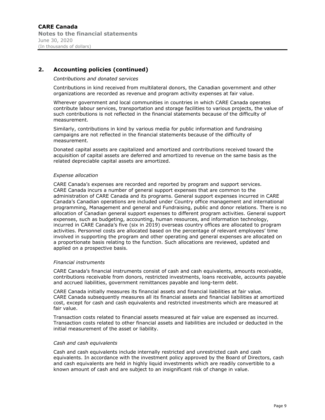# **2. Accounting policies (continued)**

#### *Contributions and donated services*

Contributions in kind received from multilateral donors, the Canadian government and other organizations are recorded as revenue and program activity expenses at fair value.

Wherever government and local communities in countries in which CARE Canada operates contribute labour services, transportation and storage facilities to various projects, the value of such contributions is not reflected in the financial statements because of the difficulty of measurement.

Similarly, contributions in kind by various media for public information and fundraising campaigns are not reflected in the financial statements because of the difficulty of measurement.

Donated capital assets are capitalized and amortized and contributions received toward the acquisition of capital assets are deferred and amortized to revenue on the same basis as the related depreciable capital assets are amortized.

#### *Expense allocation*

CARE Canada's expenses are recorded and reported by program and support services. CARE Canada incurs a number of general support expenses that are common to the administration of CARE Canada and its programs. General support expenses incurred in CARE Canada's Canadian operations are included under Country office management and international programming, Management and general and Fundraising, public and donor relations. There is no allocation of Canadian general support expenses to different program activities. General support expenses, such as budgeting, accounting, human resources, and information technology, incurred in CARE Canada's five (six in 2019) overseas country offices are allocated to program activities. Personnel costs are allocated based on the percentage of relevant employees' time involved in supporting the program and other operating and general expenses are allocated on a proportionate basis relating to the function. Such allocations are reviewed, updated and applied on a prospective basis.

#### *Financial instruments*

CARE Canada's financial instruments consist of cash and cash equivalents, amounts receivable, contributions receivable from donors, restricted investments, loans receivable, accounts payable and accrued liabilities, government remittances payable and long-term debt.

CARE Canada initially measures its financial assets and financial liabilities at fair value. CARE Canada subsequently measures all its financial assets and financial liabilities at amortized cost, except for cash and cash equivalents and restricted investments which are measured at fair value.

Transaction costs related to financial assets measured at fair value are expensed as incurred. Transaction costs related to other financial assets and liabilities are included or deducted in the initial measurement of the asset or liability.

#### *Cash and cash equivalents*

Cash and cash equivalents include internally restricted and unrestricted cash and cash equivalents. In accordance with the investment policy approved by the Board of Directors, cash and cash equivalents are held in highly liquid investments which are readily convertible to a known amount of cash and are subject to an insignificant risk of change in value.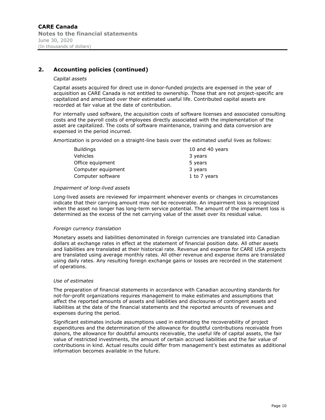# **2. Accounting policies (continued)**

#### *Capital assets*

Capital assets acquired for direct use in donor-funded projects are expensed in the year of acquisition as CARE Canada is not entitled to ownership. Those that are not project-specific are capitalized and amortized over their estimated useful life. Contributed capital assets are recorded at fair value at the date of contribution.

For internally used software, the acquisition costs of software licenses and associated consulting costs and the payroll costs of employees directly associated with the implementation of the asset are capitalized. The costs of software maintenance, training and data conversion are expensed in the period incurred.

Amortization is provided on a straight-line basis over the estimated useful lives as follows:

| 10 and 40 years |
|-----------------|
| 3 years         |
| 5 years         |
| 3 years         |
| 1 to 7 years    |
|                 |

#### *Impairment of long-lived assets*

Long-lived assets are reviewed for impairment whenever events or changes in circumstances indicate that their carrying amount may not be recoverable. An impairment loss is recognized when the asset no longer has long-term service potential. The amount of the impairment loss is determined as the excess of the net carrying value of the asset over its residual value.

#### *Foreign currency translation*

Monetary assets and liabilities denominated in foreign currencies are translated into Canadian dollars at exchange rates in effect at the statement of financial position date. All other assets and liabilities are translated at their historical rate. Revenue and expense for CARE USA projects are translated using average monthly rates. All other revenue and expense items are translated using daily rates. Any resulting foreign exchange gains or losses are recorded in the statement of operations.

#### *Use of estimates*

The preparation of financial statements in accordance with Canadian accounting standards for not-for-profit organizations requires management to make estimates and assumptions that affect the reported amounts of assets and liabilities and disclosures of contingent assets and liabilities at the date of the financial statements and the reported amounts of revenues and expenses during the period.

Significant estimates include assumptions used in estimating the recoverability of project expenditures and the determination of the allowance for doubtful contributions receivable from donors, the allowance for doubtful amounts receivable, the useful life of capital assets, the fair value of restricted investments, the amount of certain accrued liabilities and the fair value of contributions in kind. Actual results could differ from management's best estimates as additional information becomes available in the future.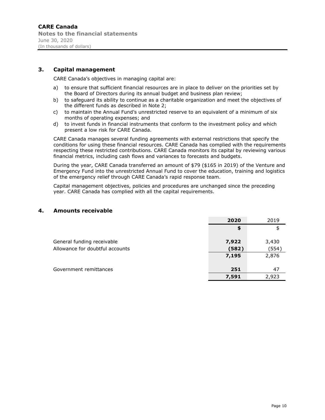# **3. Capital management**

CARE Canada's objectives in managing capital are:

- a) to ensure that sufficient financial resources are in place to deliver on the priorities set by the Board of Directors during its annual budget and business plan review;
- b) to safeguard its ability to continue as a charitable organization and meet the objectives of the different funds as described in Note 2;
- c) to maintain the Annual Fund's unrestricted reserve to an equivalent of a minimum of six months of operating expenses; and
- d) to invest funds in financial instruments that conform to the investment policy and which present a low risk for CARE Canada.

CARE Canada manages several funding agreements with external restrictions that specify the conditions for using these financial resources. CARE Canada has complied with the requirements respecting these restricted contributions. CARE Canada monitors its capital by reviewing various financial metrics, including cash flows and variances to forecasts and budgets.

During the year, CARE Canada transferred an amount of \$79 (\$165 in 2019) of the Venture and Emergency Fund into the unrestricted Annual Fund to cover the education, training and logistics of the emergency relief through CARE Canada's rapid response team.

Capital management objectives, policies and procedures are unchanged since the preceding year. CARE Canada has complied with all the capital requirements.

#### **4. Amounts receivable**

|                                                               | 2020           | 2019           |
|---------------------------------------------------------------|----------------|----------------|
|                                                               | \$             |                |
| General funding receivable<br>Allowance for doubtful accounts | 7,922<br>(582) | 3,430<br>(554) |
|                                                               | 7,195          | 2,876          |
| Government remittances                                        | 251            | 47             |
|                                                               | 7,591          | 2,923          |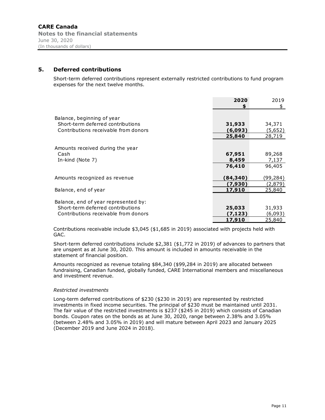# **5. Deferred contributions**

Short-term deferred contributions represent externally restricted contributions to fund program expenses for the next twelve months.

|                                      | 2020     | 2019     |
|--------------------------------------|----------|----------|
|                                      |          | \$       |
|                                      |          |          |
| Balance, beginning of year           |          |          |
| Short-term deferred contributions    | 31,933   | 34,371   |
| Contributions receivable from donors | (6,093)  | (5,652)  |
|                                      | 25,840   | 28,719   |
|                                      |          |          |
| Amounts received during the year     |          |          |
| Cash                                 | 67,951   | 89,268   |
| In-kind (Note 7)                     | 8,459    | 7,137    |
|                                      | 76,410   | 96,405   |
|                                      |          |          |
| Amounts recognized as revenue        | (84,340) | (99,284) |
|                                      | (7,930)  | (2,879)  |
| Balance, end of year                 | 17,910   | 25,840   |
|                                      |          |          |
| Balance, end of year represented by: |          |          |
| Short-term deferred contributions    | 25,033   | 31,933   |
| Contributions receivable from donors | (7,123)  | (6,093)  |
|                                      | 17,910   | 25,840   |

Contributions receivable include \$3,045 (\$1,685 in 2019) associated with projects held with GAC.

Short-term deferred contributions include \$2,381 (\$1,772 in 2019) of advances to partners that are unspent as at June 30, 2020. This amount is included in amounts receivable in the statement of financial position.

Amounts recognized as revenue totaling \$84,340 (\$99,284 in 2019) are allocated between fundraising, Canadian funded, globally funded, CARE International members and miscellaneous and investment revenue.

#### *Restricted investments*

Long-term deferred contributions of \$230 (\$230 in 2019) are represented by restricted investments in fixed income securities. The principal of \$230 must be maintained until 2031. The fair value of the restricted investments is \$237 (\$245 in 2019) which consists of Canadian bonds. Coupon rates on the bonds as at June 30, 2020, range between 2.38% and 3.05% (between 2.48% and 3.05% in 2019) and will mature between April 2023 and January 2025 (December 2019 and June 2024 in 2018).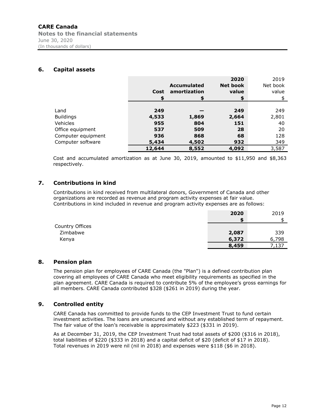# **6. Capital assets**

|                    |        |                    | 2020            | 2019     |
|--------------------|--------|--------------------|-----------------|----------|
|                    |        | <b>Accumulated</b> | <b>Net book</b> | Net book |
|                    | Cost   | amortization       | value           | value    |
|                    | \$     |                    | \$              | \$       |
|                    |        |                    |                 |          |
| Land               | 249    |                    | 249             | 249      |
| <b>Buildings</b>   | 4,533  | 1,869              | 2,664           | 2,801    |
| Vehicles           | 955    | 804                | 151             | 40       |
| Office equipment   | 537    | 509                | 28              | 20       |
| Computer equipment | 936    | 868                | 68              | 128      |
| Computer software  | 5,434  | 4,502              | 932             | 349      |
|                    | 12,644 | 8,552              | 4,092           | 3,587    |

Cost and accumulated amortization as at June 30, 2019, amounted to \$11,950 and \$8,363 respectively.

# **7. Contributions in kind**

Contributions in kind received from multilateral donors, Government of Canada and other organizations are recorded as revenue and program activity expenses at fair value. Contributions in kind included in revenue and program activity expenses are as follows:

|                 | 2020  | 2019  |
|-----------------|-------|-------|
|                 | \$    |       |
| Country Offices |       |       |
| Zimbabwe        | 2,087 | 339   |
| Kenya           | 6,372 | 6,798 |
|                 | 8,459 | 7,137 |

# **8. Pension plan**

The pension plan for employees of CARE Canada (the "Plan") is a defined contribution plan covering all employees of CARE Canada who meet eligibility requirements as specified in the plan agreement. CARE Canada is required to contribute 5% of the employee's gross earnings for all members. CARE Canada contributed \$328 (\$261 in 2019) during the year.

# **9. Controlled entity**

CARE Canada has committed to provide funds to the CEP Investment Trust to fund certain investment activities. The loans are unsecured and without any established term of repayment. The fair value of the loan's receivable is approximately \$223 (\$331 in 2019).

As at December 31, 2019, the CEP Investment Trust had total assets of \$200 (\$316 in 2018), total liabilities of \$220 (\$333 in 2018) and a capital deficit of \$20 (deficit of \$17 in 2018). Total revenues in 2019 were nil (nil in 2018) and expenses were \$118 (\$6 in 2018).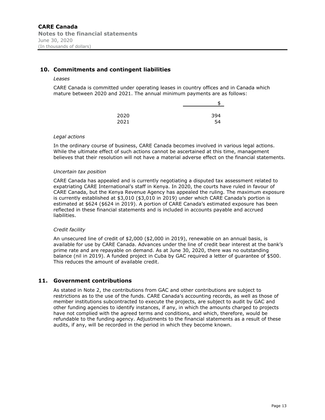# **10. Commitments and contingent liabilities**

#### *Leases*

CARE Canada is committed under operating leases in country offices and in Canada which mature between 2020 and 2021. The annual minimum payments are as follows:

| 2020 | 394 |
|------|-----|
| 2021 | 54  |

#### *Legal actions*

In the ordinary course of business, CARE Canada becomes involved in various legal actions. While the ultimate effect of such actions cannot be ascertained at this time, management believes that their resolution will not have a material adverse effect on the financial statements.

#### *Uncertain tax position*

CARE Canada has appealed and is currently negotiating a disputed tax assessment related to expatriating CARE International's staff in Kenya. In 2020, the courts have ruled in favour of CARE Canada, but the Kenya Revenue Agency has appealed the ruling. The maximum exposure is currently established at \$3,010 (\$3,010 in 2019) under which CARE Canada's portion is estimated at \$624 (\$624 in 2019). A portion of CARE Canada's estimated exposure has been reflected in these financial statements and is included in accounts payable and accrued liabilities.

#### *Credit facility*

An unsecured line of credit of \$2,000 (\$2,000 in 2019), renewable on an annual basis, is available for use by CARE Canada. Advances under the line of credit bear interest at the bank's prime rate and are repayable on demand. As at June 30, 2020, there was no outstanding balance (nil in 2019). A funded project in Cuba by GAC required a letter of guarantee of \$500. This reduces the amount of available credit.

#### **11. Government contributions**

As stated in Note 2, the contributions from GAC and other contributions are subject to restrictions as to the use of the funds. CARE Canada's accounting records, as well as those of member institutions subcontracted to execute the projects, are subject to audit by GAC and other funding agencies to identify instances, if any, in which the amounts charged to projects have not complied with the agreed terms and conditions, and which, therefore, would be refundable to the funding agency. Adjustments to the financial statements as a result of these audits, if any, will be recorded in the period in which they become known.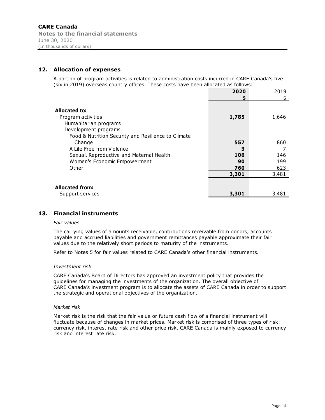# **12. Allocation of expenses**

A portion of program activities is related to administration costs incurred in CARE Canada's five (six in 2019) overseas country offices. These costs have been allocated as follows:

|                                                                                                      | 2020<br>S | 2019  |
|------------------------------------------------------------------------------------------------------|-----------|-------|
| Allocated to:<br>Program activities                                                                  | 1,785     | 1,646 |
| Humanitarian programs<br>Development programs<br>Food & Nutrition Security and Resilience to Climate |           |       |
| Change                                                                                               | 557       | 860   |
| A Life Free from Violence                                                                            | 3         |       |
| Sexual, Reproductive and Maternal Health                                                             | 106       | 146   |
| Women's Economic Empowerment                                                                         | 90        | 199   |
| Other                                                                                                | 760       | 623   |
|                                                                                                      | 3,301     | 3,481 |
| <b>Allocated from:</b>                                                                               |           |       |
| Support services                                                                                     | 3,301     | 3,481 |

# **13. Financial instruments**

#### *Fair values*

The carrying values of amounts receivable, contributions receivable from donors, accounts payable and accrued liabilities and government remittances payable approximate their fair values due to the relatively short periods to maturity of the instruments.

Refer to Notes 5 for fair values related to CARE Canada's other financial instruments.

#### *Investment risk*

CARE Canada's Board of Directors has approved an investment policy that provides the guidelines for managing the investments of the organization. The overall objective of CARE Canada's investment program is to allocate the assets of CARE Canada in order to support the strategic and operational objectives of the organization.

#### *Market risk*

Market risk is the risk that the fair value or future cash flow of a financial instrument will fluctuate because of changes in market prices. Market risk is comprised of three types of risk: currency risk, interest rate risk and other price risk. CARE Canada is mainly exposed to currency risk and interest rate risk.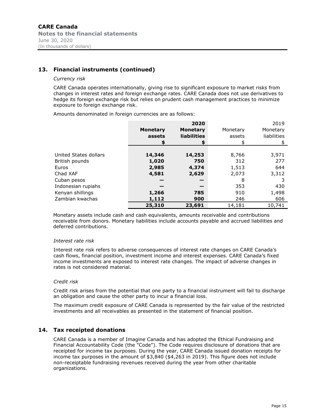# **13. Financial instruments (continued)**

#### *Currency risk*

CARE Canada operates internationally, giving rise to significant exposure to market risks from changes in interest rates and foreign exchange rates. CARE Canada does not use derivatives to hedge its foreign exchange risk but relies on prudent cash management practices to minimize exposure to foreign exchange risk.

Amounts denominated in foreign currencies are as follows:

|                       | <b>Monetary</b><br>assets<br>S | 2020<br><b>Monetary</b><br><b>liabilities</b><br>S | Monetary<br>assets<br>\$ | 2019<br>Monetary<br>liabilities<br>\$ |
|-----------------------|--------------------------------|----------------------------------------------------|--------------------------|---------------------------------------|
| United States dollars | 14,346                         | 14,253                                             | 8,766                    | 3,971                                 |
| British pounds        | 1,020                          | 750                                                | 312                      | 277                                   |
| Euros                 | 2,985                          | 4,374                                              | 1,513                    | 644                                   |
| Chad XAF              | 4,581                          | 2,629                                              | 2,073                    | 3,312                                 |
| Cuban pesos           |                                |                                                    | 8                        |                                       |
| Indonesian rupiahs    |                                |                                                    | 353                      | 430                                   |
| Kenyan shillings      | 1,266                          | 785                                                | 910                      | 1,498                                 |
| Zambian kwachas       | 1,112                          | 900                                                | 246                      | 606                                   |
|                       | 25,310                         | 23,691                                             | 14,181                   | 10,741                                |

Monetary assets include cash and cash equivalents, amounts receivable and contributions receivable from donors. Monetary liabilities include accounts payable and accrued liabilities and deferred contributions.

#### *Interest rate risk*

Interest rate risk refers to adverse consequences of interest rate changes on CARE Canada's cash flows, financial position, investment income and interest expenses. CARE Canada's fixed income investments are exposed to interest rate changes. The impact of adverse changes in rates is not considered material.

#### *Credit risk*

Credit risk arises from the potential that one party to a financial instrument will fail to discharge an obligation and cause the other party to incur a financial loss.

The maximum credit exposure of CARE Canada is represented by the fair value of the restricted investments and all receivables as presented in the statement of financial position.

#### **14. Tax receipted donations**

CARE Canada is a member of Imagine Canada and has adopted the Ethical Fundraising and Financial Accountability Code (the "Code"). The Code requires disclosure of donations that are receipted for income tax purposes. During the year, CARE Canada issued donation receipts for income tax purposes in the amount of \$3,840 (\$4,263 in 2019). This figure does not include non-receiptable fundraising revenues received during the year from other charitable organizations.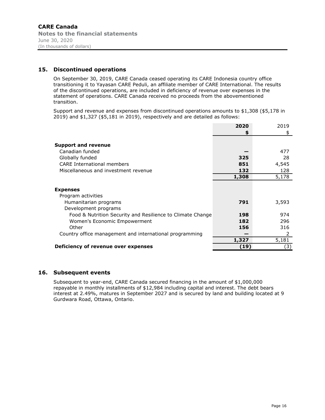# **15. Discontinued operations**

On September 30, 2019, CARE Canada ceased operating its CARE Indonesia country office transitioning it to Yayasan CARE Peduli, an affiliate member of CARE International. The results of the discontinued operations, are included in deficiency of revenue over expenses in the statement of operations. CARE Canada received no proceeds from the abovementioned transition.

Support and revenue and expenses from discontinued operations amounts to \$1,308 (\$5,178 in 2019) and \$1,327 (\$5,181 in 2019), respectively and are detailed as follows:

|                                                            | 2020  | 2019          |
|------------------------------------------------------------|-------|---------------|
|                                                            | S     | \$            |
|                                                            |       |               |
| <b>Support and revenue</b>                                 |       |               |
| Canadian funded                                            |       | 477           |
| Globally funded                                            | 325   | 28            |
| <b>CARE International members</b>                          | 851   | 4,545         |
| Miscellaneous and investment revenue                       | 132   | 128           |
|                                                            | 1,308 | 5,178         |
|                                                            |       |               |
| <b>Expenses</b>                                            |       |               |
| Program activities                                         |       |               |
| Humanitarian programs                                      | 791   | 3,593         |
| Development programs                                       |       |               |
| Food & Nutrition Security and Resilience to Climate Change | 198   | 974           |
| Women's Economic Empowerment                               | 182   | 296           |
| Other                                                      | 156   | 316           |
| Country office management and international programming    |       | $\mathcal{P}$ |
|                                                            | 1,327 | 5,181         |
| Deficiency of revenue over expenses                        | (19)  | (3)           |

#### **16. Subsequent events**

Subsequent to year-end, CARE Canada secured financing in the amount of \$1,000,000 repayable in monthly installments of \$12,984 including capital and interest. The debt bears interest at 2.49%, matures in September 2027 and is secured by land and building located at 9 Gurdwara Road, Ottawa, Ontario.